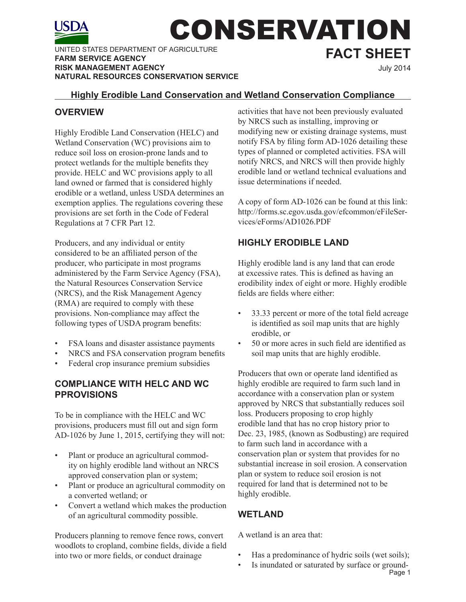

UNITED STATES DEPARTMENT OF AGRICULTURE **FARM SERVICE AGENCY RISK MANAGEMENT AGENCY NATURAL RESOURCES CONSERVATION SERVICE** 

# CONSERVATION **FACT SHEET**

July 2014

#### **Highly Erodible Land Conservation and Wetland Conservation Compliance**

# **OVERVIEW**

Highly Erodible Land Conservation (HELC) and Wetland Conservation (WC) provisions aim to reduce soil loss on erosion-prone lands and to protect wetlands for the multiple benefits they provide. HELC and WC provisions apply to all land owned or farmed that is considered highly erodible or a wetland, unless USDA determines an exemption applies. The regulations covering these provisions are set forth in the Code of Federal Regulations at 7 CFR Part 12.

Producers, and any individual or entity considered to be an affiliated person of the producer, who participate in most programs administered by the Farm Service Agency (FSA), the Natural Resources Conservation Service (NRCS), and the Risk Management Agency (RMA) are required to comply with these provisions. Non-compliance may affect the following types of USDA program benefits:

- FSA loans and disaster assistance payments
- NRCS and FSA conservation program benefits
- Federal crop insurance premium subsidies

#### **COMPLIANCE WITH HELC AND WC PPROVISIONS**

To be in compliance with the HELC and WC provisions, producers must fill out and sign form AD-1026 by June 1, 2015, certifying they will not:

- Plant or produce an agricultural commodity on highly erodible land without an NRCS approved conservation plan or system;
- Plant or produce an agricultural commodity on a converted wetland; or
- Convert a wetland which makes the production of an agricultural commodity possible.

Producers planning to remove fence rows, convert woodlots to cropland, combine fields, divide a field into two or more fields, or conduct drainage

activities that have not been previously evaluated by NRCS such as installing, improving or modifying new or existing drainage systems, must notify FSA by filing form AD-1026 detailing these types of planned or completed activities. FSA will notify NRCS, and NRCS will then provide highly erodible land or wetland technical evaluations and issue determinations if needed.

A copy of form AD-1026 can be found at this link: http://forms.sc.egov.usda.gov/efcommon/eFileServices/eForms/AD1026.PDF

# **HIGHLY ERODIBLE LAND**

Highly erodible land is any land that can erode at excessive rates. This is defined as having an erodibility index of eight or more. Highly erodible fields are fields where either:

- 33.33 percent or more of the total field acreage is identified as soil map units that are highly erodible, or
- 50 or more acres in such field are identified as soil map units that are highly erodible.

Producers that own or operate land identified as highly erodible are required to farm such land in accordance with a conservation plan or system approved by NRCS that substantially reduces soil loss. Producers proposing to crop highly erodible land that has no crop history prior to Dec. 23, 1985, (known as Sodbusting) are required to farm such land in accordance with a conservation plan or system that provides for no substantial increase in soil erosion. A conservation plan or system to reduce soil erosion is not required for land that is determined not to be highly erodible.

# **WETLAND**

A wetland is an area that:

- Has a predominance of hydric soils (wet soils);
- Page 1 • Is inundated or saturated by surface or ground-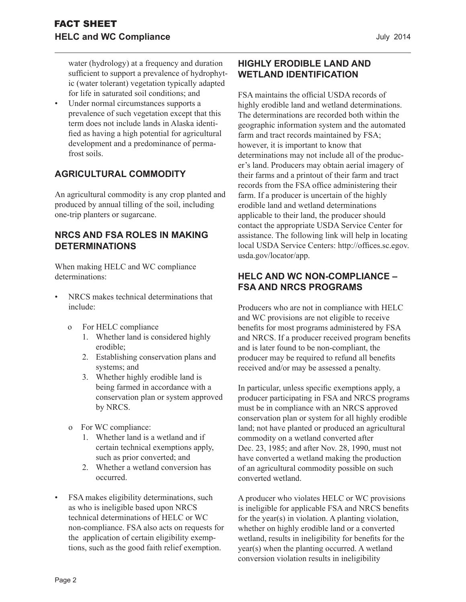water (hydrology) at a frequency and duration sufficient to support a prevalence of hydrophytic (water tolerant) vegetation typically adapted for life in saturated soil conditions; and

Under normal circumstances supports a prevalence of such vegetation except that this term does not include lands in Alaska identified as having a high potential for agricultural development and a predominance of permafrost soils.

# **AGRICULTURAL COMMODITY**

An agricultural commodity is any crop planted and produced by annual tilling of the soil, including one-trip planters or sugarcane.

#### **NRCS AND FSA ROLES IN MAKING DETERMINATIONS**

When making HELC and WC compliance determinations:

- NRCS makes technical determinations that include:
	- o For HELC compliance
		- 1. Whether land is considered highly erodible;
		- 2. Establishing conservation plans and systems; and
		- 3. Whether highly erodible land is being farmed in accordance with a conservation plan or system approved by NRCS.
	- o For WC compliance:
		- 1. Whether land is a wetland and if certain technical exemptions apply, such as prior converted; and
		- 2. Whether a wetland conversion has occurred.
- FSA makes eligibility determinations, such as who is ineligible based upon NRCS technical determinations of HELC or WC non-compliance. FSA also acts on requests for the application of certain eligibility exemptions, such as the good faith relief exemption.

# **HIGHLY ERODIBLE LAND AND WETLAND IDENTIFICATION**

FSA maintains the official USDA records of highly erodible land and wetland determinations. The determinations are recorded both within the geographic information system and the automated farm and tract records maintained by FSA; however, it is important to know that determinations may not include all of the producer's land. Producers may obtain aerial imagery of their farms and a printout of their farm and tract records from the FSA office administering their farm. If a producer is uncertain of the highly erodible land and wetland determinations applicable to their land, the producer should contact the appropriate USDA Service Center for assistance. The following link will help in locating local USDA Service Centers: http://offices.sc.egov. usda.gov/locator/app.

#### **HELC AND WC NON-COMPLIANCE – FSA AND NRCS PROGRAMS**

Producers who are not in compliance with HELC and WC provisions are not eligible to receive benefits for most programs administered by FSA and NRCS. If a producer received program benefits and is later found to be non-compliant, the producer may be required to refund all benefits received and/or may be assessed a penalty.

In particular, unless specific exemptions apply, a producer participating in FSA and NRCS programs must be in compliance with an NRCS approved conservation plan or system for all highly erodible land; not have planted or produced an agricultural commodity on a wetland converted after Dec. 23, 1985; and after Nov. 28, 1990, must not have converted a wetland making the production of an agricultural commodity possible on such converted wetland.

A producer who violates HELC or WC provisions is ineligible for applicable FSA and NRCS benefits for the year(s) in violation. A planting violation, whether on highly erodible land or a converted wetland, results in ineligibility for benefits for the year(s) when the planting occurred. A wetland conversion violation results in ineligibility